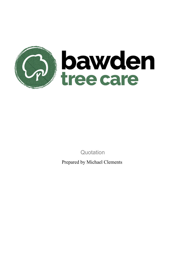

**Quotation** 

Prepared by Michael Clements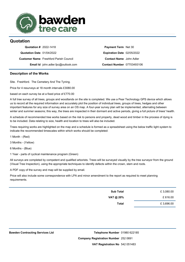

## **Quotation**

| Quotation # 2022-1418     |                                               |
|---------------------------|-----------------------------------------------|
| Quotation Date 01/04/2022 |                                               |
|                           | <b>Customer Name</b> Freshford Parish Council |
|                           | <b>Email Id</b> john.adler.fpc@outlook.com    |

**Payment Term** Net 30 **Expiration Date** 02/05/2022 **Contact Name** John Adler **Contact Number** 07703493106

## **Description of the Works**

Site. Freshford. The Cemetery And The Tyning.

Price for 4 resurveys at 18 month intervals £3080.00

based on each survey be at a fixed price of £770.00

A full tree survey of all trees, groups and woodlands on the site is completed. We use a Pear Technology GPS device which allows us to record all the required information and accurately plot the position of individual trees, groups of trees, hedges and other important features for any size of survey area on an OS map. A four-year survey plan will be implemented, alternating between winter and summer seasons; this way, the trees are inspected in their dormant and active periods, giving a full picture of trees' health.

A schedule of recommended tree works based on the risk to persons and property, dead wood and timber in the process of dying is to be included. Data relating to size, health and location to trees will also be included.

Trees requiring works are highlighted on the map and a schedule is formed as a spreadsheet using the below traffic light system to indicate the recommended timescales within which works should be completed:

1 Month - (Red)

3 Months - (Yellow)

6 Months - (Blue)

1 Year - parts of cyclical maintenance program (Green)

All surveys are completed by competent and qualified arborists. Trees will be surveyed visually by the tree surveyor from the ground (Visual Tree Inspection), using the appropriate techniques to identify defects within the crown, stem and roots.

A PDF copy of the survey and map will be supplied by email.

Price will also include some correspondence with LPA and minor amendment to the report as required to meet planning requirements.

| £3,080.00 | <b>Sub Total</b> |
|-----------|------------------|
| £616.00   | VAT @ 20%        |
| £3,696.00 | <b>Total</b>     |

**Company Registration Number** 252 0691 **VAT Registration No** 542 051483Telephone Number 01980 622185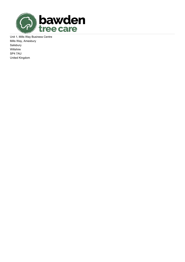

Unit 1, Mills Way Business Centre Mills Way, Amesbury Salisbury Wiltshire SP4 7AU United Kingdom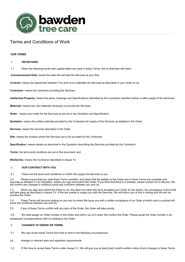

# Terms and Conditions of Work

## **OUR TERMS**

#### 1. **DEFINITIONS**

1.1 When the following words with capital letters are used in these Terms, this is what they will mean:

**Commencement Date:** means the date We will start the Services at your Site;

**Contract:** means the agreement between You and Us to undertake the Services as described in your Order to Us;

**Contractor:** means the contractor providing the Services;

**Intellectual Property:** means the plans, drawings and Specifications submitted by the Contractor (whether before or after supply of the Services);

**Materials:** means any raw materials necessary to provide the Services;

**Order:** means your order for the Services as set out in the Quotation and Specification

**Quotation**: means the written estimate provided by the Contractor for supply of the Services as detailed in the Order;

**Services:** means the services described in the Order;

**Site:** means the location where the Services are to be provided by the Contractor;

**Specification:** means details as described in the Quotation describing the Services provided by the Contractor;

**Terms:** the terms and conditions set out in this document; and

**We/Our/Us:** means the Contractor described in clause 13.

#### 2. **OUR CONTRACT WITH YOU**

2.1 These are the terms and conditions on which We supply the Services to you.

2.2 Please ensure that you read these Terms carefully, and check that the details on the Order and in these Terms are complete and accurate as detailed in Our Quotation, before you sign and submit the Order. If you think that there is a mistake, please contact Us to discuss. We will confirm any changes in writing to avoid any confusion between you and Us.

2.3 When you sign and submit the Order to Us, this does not mean We have accepted your Order for the Works. Our acceptance of the Order will take place as described in clause 2.4. If We are unable to supply you with the Services, We will inform you of this in writing and We will not process the Order.

2.4 These Terms will become binding on you and Us when We issue you with a written acceptance of an Order at which point a contract will come into existence between you and Us.

2.5 If any of these Terms conflict with any term of the Order, the Order will take priority.

2.6 We shall assign an Order number to the Order and inform you of it when We confirm the Order. Please quote the Order number in all subsequent correspondence with Us relating to the Order.

#### 3. **CHANGES TO ORDER OR TERMS**

3.1 We may revise these Terms from time to time in the following circumstances:

(a) changes in relevant laws and regulatory requirements.

3.2 If We have to revise these Terms under clause 3.1, We will give you at least [one] month's written notice of any changes to these Terms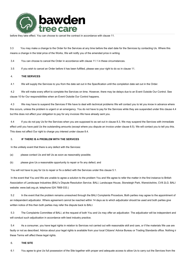

before they take effect. You can choose to cancel the contract in accordance with clause 11.

3.3 You may make a change to the Order for the Services at any time before the start date for the Services by contacting Us. Where this means a change in the total price of the Works, We will notify you of the amended price in writing.

3.4 You can choose to cancel the Order in accordance with clause 11.1 in these circumstances.

3.5 If you wish to cancel an Order before it has been fulfilled, please see your right to do so in clause 11.

## 4. **THE SERVICES**

4.1 We will supply the Services to you from the date set out in the Specification until the completion date set out in the Order.

4.2 We will make every effort to complete the Services on time. However, there may be delays due to an Event Outside Our Control. See clause 10 for Our responsibilities when an Event Outside Our Control happens.

4.3 We may have to suspend the Services if We have to deal with technical problems We will contact you to let you know in advance where this occurs, unless the problem is urgent or an emergency. You do not have to pay for the Services while they are suspended under this clause 4.4 but this does not affect your obligation to pay for any invoices We have already sent you.

4.4 If you do not pay Us for the Services when you are supposed to as set out in clause 8.3, We may suspend the Services with immediate effect until you have paid Us the outstanding amounts (except where you dispute an invoice under clause 8.5). We will contact you to tell you this. This does not affect Our right to charge you interest under clause 8.4.

## 5. **IF THERE IS A PROBLEM WITH THE SERVICES**

In the unlikely event that there is any defect with the Services:

- (a) please contact Us and tell Us as soon as reasonably possible;
- (b) please give Us a reasonable opportunity to repair or fix any defect; and

You will not have to pay for Us to repair or fix a defect with the Services under this clause 5.1.

In the event that You and We are unable to agree a solution to the problem You and We agree to refer the matter in the first instance to British Association of Landscape Industries (BALI's Dispute Resolution Service. BALI, Landscape House, Stoneleigh Park, Warwickshire, CV8 2LG. BALI website: www.bali.org.uk; telephone 024 7669 033.)

5.2 In the event that the problem remains unresolved through the BALI Complaints Procedure, Both parties may agree to the appointment of an independent adjudicator. Where agreement cannot be reached within 14 days as to which adjudicator should be used and both parties give written notice of this then both parties may refer the dispute back to BALI.

5.3 The Complaints Committee of BALI, at the request of both You and Us may offer an adjudicator. The adjudicator will be independent and will conduct such adjudication in accordance with best industry practice.

5.4 As a consumer, you have legal rights in relation to Services not carried out with reasonable skill and care, or if the materials We use are faulty or not as described. Advice about your legal rights is available from your local Citizens' Advice Bureau or Trading Standards office. Nothing in these Terms will affect these legal rights.

#### 6. **THE SITE**

6.1 You agree to give Us full possession of the Site together with proper and adequate access to allow Us to carry out the Services from the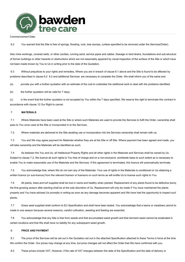

Commencement Date.

6.2 You warrant that the Site is free of springs, flooding, rock, tree stumps, (unless specified to be removed under the Services/Order).

Also mine workings, covered wells, or other cavities, running sand, service pipes and cables. Sewage or land drains, foundations and sub-structure of former buildings or other hazards or obstructions which are not reasonably apparent by visual inspection of the surface of the Site or which have not been made known by You to Us in writing prior to the date of the Quotation.

6.3 Without prejudices to your rights and remedies, Where you are in breach of clause 6.1 above and the Site is found to be affected by problems described in clause 6.2 6.2 and additional Services are necessary to complete the Order, We shall inform you of the same and

(a) provide you with a further quotation with an estimate of the cost to undertake the additional work to deal with the problems identified;

(b) the further quotation will be valid for 7 days;

(c) in the event that the further quotation is not accepted by You within the 7 days specified, We reserve the right to terminate this contract in accordance with clause 12 Our Right to cancel.

## 7. **MATERIALS**

7.1 Where Materials have been used at the Site or where such Materials are used to provide the Services to fulfil the Order, ownership shall pass to You once used at the Site or incorporated in to the Services;

7.2 Where materials are delivered to the Site awaiting use or incorporation into the Services ownership shall remain with us;

7.3 You and We may agree payment for Materials whether they are at the Site or off Site. Where payment has been agreed and made, you will take ownership and the Materials will be identified as such;

7.4 As between the You and Us, all Intellectual Property Rights and all other rights in the Materials and Services shall be owned by Us. Subject to clause 7.2, We licence all such rights to You free of charge and on a non-exclusive, worldwide basis to such extent as is necessary to enable You to make reasonable use of the Materials and the Services. If this agreement is terminated, this licence will automatically terminate.

7.5 You acknowledge that, where We do not own any of the Materials, Your use of rights in the Materials is conditional on Us obtaining a written licence (or sub-licence) from the relevant licensor or licensors on such terms as will entitle Us to license such rights to You.

7.6 All plants, trees and turf supplied shall be true in name and healthy when planted. Replacement of any plants found to be defective during the first growing season after planting shall be at the sole discretion of Us. Replacement will only be made if You have maintained the plants properly and You have advised Us promptly in writing as soon as any damage becomes apparent and We have had the opportunity to inspect such plants;

7.7 Grass seed supplied shall conform to EU Specification and shall have been tested. You acknowledge that a lawns or meadows cannot be made in one season because several seasons, careful cultivation, weeding and feeding are essential;

7.8 You acknowledge that any Site is free from weeds and that accumulated weed growth and that dormant weed cannot be eradicated in certain locations and that We shall have no liability for any subsequent weed growth.

#### 8. **PRICE AND PAYMENT**

8.1 The price of the Services will be set out in the Quotation set out in the attached Specification attached to these Terms in force at the time We confirm the Order. Our prices may change at any time, but price changes will not affect the Order that We have confirmed with you.

8.2 These prices include VAT. However, if the rate of VAT changes between the date of the Specification and the date of delivery or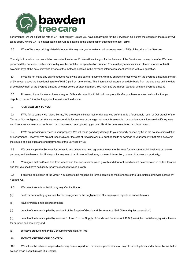

performance, we will adjust the rate of VAT that you pay, unless you have already paid for the Services in full before the change in the rate of VAT takes effect. Where VAT is not applicable this will be detailed in the Specification attached to these Terms.

8.3 Where We are providing Materials to you, We may ask you to make an advance payment of 25% of the price of the Services.

Your rights to a refund on cancellation are set out in clause 11. We will invoice you for the balance of the Services on or any time after We have performed the Services. Each invoice will quote the quotation or specification number. You must pay each invoice in cleared monies within 30 calendar days at the date of invoice by one of the methods detailed in the covering information sheet provided with our quotation.

8.4 If you do not make any payment due to Us by the due date for payment, we may charge interest to you on the overdue amount at the rate of 5% a year above the base lending rate of HSBC plc from time to time. This interest shall accrue on a daily basis from the due date until the date of actual payment of the overdue amount, whether before or after judgment. You must pay Us interest together with any overdue amount.

8.5 However, if you dispute an invoice in good faith and contact Us to let Us know promptly after you have received an invoice that you dispute it, clause 8.4 will not apply for the period of the dispute.

#### 9. **OUR LIABILITY TO YOU**

9.1 If We fail to comply with these Terms, We are responsible for loss or damage you suffer that is a foreseeable result of Our breach of the Terms or Our negligence, but We are not responsible for any loss or damage that is not foreseeable. Loss or damage is foreseeable if they were an obvious consequence of our breach or if they were contemplated by you and Us at the time we entered into this contract.

9.2 If We are providing Services in your property, We will make good any damage to your property caused by Us in the course of installation or performance. However, We are not responsible for the cost of repairing any pre-existing faults or damage to your property that We discover in the course of installation and/or performance of the Services by Us.

9.3 We only supply the Services for domestic and private use. You agree not to use the Services for any commercial, business or re-sale purpose, and We have no liability to you for any loss of profit, loss of business, business interruption, or loss of business opportunity;

9.4 You agree that no Site is free from weeds and that accumulated weed growth and dormant weed cannot be eradicated in certain locations and that We shall have no liability for any subsequent weed growth;

9.5 Following completion of the Order, You agree to be responsible for the continuing maintenance of the Site, unless otherwise agreed by You and Us.

9.6 We do not exclude or limit in any way Our liability for:

(a) death or personal injury caused by Our negligence or the negligence of Our employees, agents or subcontractors;

(b) fraud or fraudulent misrepresentation;

(c) breach of the terms implied by section 2 of the Supply of Goods and Services Act 1982 (title and quiet possession);

(d) breach of the terms implied by sections 3, 4 and 5 of the Supply of Goods and Services Act 1982 (description, satisfactory quality, fitness for purpose and samples); and

(e) defective products under the Consumer Protection Act 1987.

## 10. **EVENTS OUTSIDE OUR CONTROL**

10.1 We will not be liable or responsible for any failure to perform, or delay in performance of, any of Our obligations under these Terms that is caused by an Event Outside Our Control.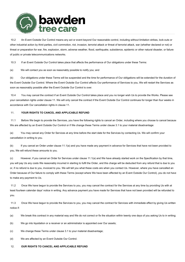

10.2 An Event Outside Our Control means any act or event beyond Our reasonable control, including without limitation strikes, lock-outs or other industrial action by third parties, civil commotion, riot, invasion, terrorist attack or threat of terrorist attack, war (whether declared or not) or threat or preparation for war, fire, explosion, storm, adverse weather, flood, earthquake, subsidence, epidemic or other natural disaster, or failure of public or private telecommunications networks.

10.3 If an Event Outside Our Control takes place that affects the performance of Our obligations under these Terms:

#### (a) We will contact you as soon as reasonably possible to notify you; and

(b) Our obligations under these Terms will be suspended and the time for performance of Our obligations will be extended for the duration of the Event Outside Our Control. Where the Event Outside Our Control affects Our performance of Services to you, We will restart the Services as soon as reasonably possible after the Event Outside Our Control is over.

10.4 You may cancel the contract if an Event Outside Our Control takes place and you no longer wish Us to provide the Works. Please see your cancellation rights under clause 11. We will only cancel the contract if the Event Outside Our Control continues for longer than four weeks in accordance with Our cancellation rights in clause 11.

#### 11. **YOUR RIGHTS TO CANCEL AND APPLICABLE REFUND**

11.1 Before We begin to provide the Services, you have the following rights to cancel an Order, including where you choose to cancel because We are affected by an Event Outside Our Control or if We change these Terms under clause 3.1 to your material disadvantage:

(a) You may cancel any Order for Services at any time before the start date for the Services by contacting Us. We will confirm your cancellation in writing to you.

(b) If you cancel an Order under clause 11.1(a) and you have made any payment in advance for Services that have not been provided to you, We will refund these amounts to you.

(c) However, if you cancel an Order for Services under clause 11.1(a) and We have already started work on the Specification by that time, you will pay Us any costs We reasonably incurred in starting to fulfil the Order, and this charge will be deducted from any refund that is due to you or, if no refund is due to you, invoiced to you. We will tell you what these costs are when you contact Us. However, where you have cancelled an Order because of Our failure to comply with these Terms (except where We have been affected by an Event Outside Our Control), you do not have to make any payment to Us.

11.2 Once We have begun to provide the Services to you, you may cancel the contract for the Services at any time by providing Us with at least fourteen calendar days' notice in writing. Any advance payment you have made for Services that have not been provided will be refunded to you.

11.3 Once We have begun to provide the Services to you, you may cancel the contract for Services with immediate effect by giving Us written notice if:

- (a) We break this contract in any material way and We do not correct or fix the situation within twenty one days of you asking Us to in writing;
- (b) We go into liquidation or a receiver or an administrator is appointed over Our assets;
- (c) We change these Terms under clause 3.1 to your material disadvantage;

(d) We are affected by an Event Outside Our Control.

#### 12. **OUR RIGHTS TO CANCEL AND APPLICABLE REFUND**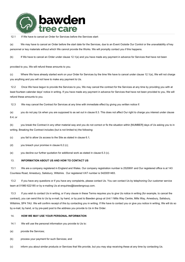

## 12.1 If We have to cancel an Order for Services before the Services start:

(a) We may have to cancel an Order before the start date for the Services, due to an Event Outside Our Control or the unavailability of key personnel or key materials without which We cannot provide the Works. We will promptly contact you if this happens.

(b) If We have to cancel an Order under clause 12.1(a) and you have made any payment in advance for Services that have not been

provided to you, We will refund these amounts to you.

(c) Where We have already started work on your Order for Services by the time We have to cancel under clause 12.1(a), We will not charge you anything and you will not have to make any payment to Us.

12.2 Once We have begun to provide the Services to you, We may cancel the contract for the Services at any time by providing you with at least fourteen calendar days' notice in writing. If you have made any payment in advance for Services that have not been provided to you, We will refund these amounts to you.

12.3 We may cancel the Contract for Services at any time with immediate effect by giving you written notice if:

(a) you do not pay Us when you are supposed to as set out in clause 8.3. This does not affect Our right to charge you interest under clause 8.4; or

(b) you break the Contract in any other material way and you do not correct or fix the situation within [NUMBER] days of Us asking you to in writing. Breaking the Contract includes (but is not limited to) the following:

(c) you fail to allow Us access to the Site as stated in clause 6.1;

(d) you breach your promise in clause 6.2 (c);

(e) you decline our further quotation for additional work as stated in clause 6.3 (c).

#### 13. **INFORMATION ABOUT US AND HOW TO CONTACT US**

13.1 We are a company registered in England and Wales. Our company registration number is 2520691 and Our registered office is at 143 Countess Road, Amesbury, Salisbury, Wiltshire. Our registered VAT number is 5420051483.

13.2 If you have any questions or if you have any complaints, please contact Us. You can contact Us by telephoning Our customer service team at 01980 622185 or by e-mailing Us at enquiries@bawdengroup.com.

13.3 If you wish to contact Us in writing, or if any clause in these Terms requires you to give Us notice in writing (for example, to cancel the contract), you can send this to Us by e-mail, by hand, or by post to Bawden group at Unit 1 Mills Way Centre, Mills Way, Amesbury, Salisbury, Wiltshire, SP4 7AU. We will confirm receipt of this by contacting you in writing. If We have to contact you or give you notice in writing, We will do so by e-mail, by hand, or by pre-paid post to the address you provide to Us in the Order.

## 14. **HOW WE MAY USE YOUR PERSONAL INFORMATION**

- 14.1 We will use the personal information you provide to Us to:
- (a) provide the Services;
- (b) process your payment for such Services; and
- (c) inform you about similar products or Services that We provide, but you may stop receiving these at any time by contacting Us.